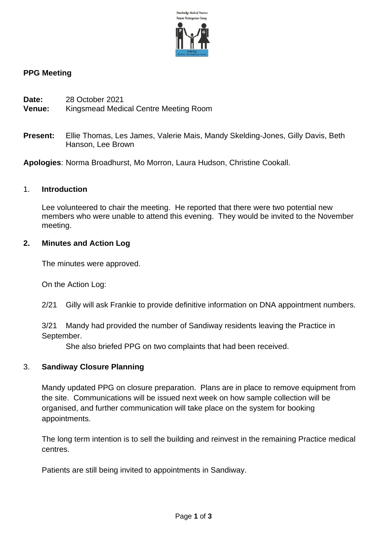

### **PPG Meeting**

- **Date:** 28 October 2021
- **Venue:** Kingsmead Medical Centre Meeting Room
- **Present:** Ellie Thomas, Les James, Valerie Mais, Mandy Skelding-Jones, Gilly Davis, Beth Hanson, Lee Brown

**Apologies**: Norma Broadhurst, Mo Morron, Laura Hudson, Christine Cookall.

#### 1. **Introduction**

Lee volunteered to chair the meeting. He reported that there were two potential new members who were unable to attend this evening. They would be invited to the November meeting.

#### **2. Minutes and Action Log**

The minutes were approved.

On the Action Log:

2/21 Gilly will ask Frankie to provide definitive information on DNA appointment numbers.

3/21 Mandy had provided the number of Sandiway residents leaving the Practice in September.

She also briefed PPG on two complaints that had been received.

#### 3. **Sandiway Closure Planning**

Mandy updated PPG on closure preparation. Plans are in place to remove equipment from the site. Communications will be issued next week on how sample collection will be organised, and further communication will take place on the system for booking appointments.

The long term intention is to sell the building and reinvest in the remaining Practice medical centres.

Patients are still being invited to appointments in Sandiway.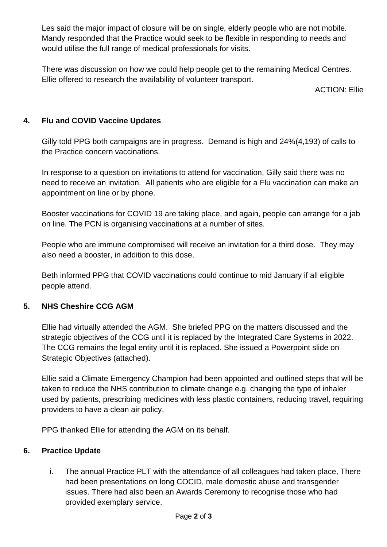Les said the major impact of closure will be on single, elderly people who are not mobile. Mandy responded that the Practice would seek to be flexible in responding to needs and would utilise the full range of medical professionals for visits.

There was discussion on how we could help people get to the remaining Medical Centres. Ellie offered to research the availability of volunteer transport.

ACTION: Ellie

# **4. Flu and COVID Vaccine Updates**

Gilly told PPG both campaigns are in progress. Demand is high and 24%(4,193) of calls to the Practice concern vaccinations.

In response to a question on invitations to attend for vaccination, Gilly said there was no need to receive an invitation. All patients who are eligible for a Flu vaccination can make an appointment on line or by phone.

Booster vaccinations for COVID 19 are taking place, and again, people can arrange for a jab on line. The PCN is organising vaccinations at a number of sites.

People who are immune compromised will receive an invitation for a third dose. They may also need a booster, in addition to this dose.

Beth informed PPG that COVID vaccinations could continue to mid January if all eligible people attend.

## **5. NHS Cheshire CCG AGM**

Ellie had virtually attended the AGM. She briefed PPG on the matters discussed and the strategic objectives of the CCG until it is replaced by the Integrated Care Systems in 2022. The CCG remains the legal entity until it is replaced. She issued a Powerpoint slide on Strategic Objectives (attached).

Ellie said a Climate Emergency Champion had been appointed and outlined steps that will be taken to reduce the NHS contribution to climate change e.g. changing the type of inhaler used by patients, prescribing medicines with less plastic containers, reducing travel, requiring providers to have a clean air policy.

PPG thanked Ellie for attending the AGM on its behalf.

## **6. Practice Update**

i. The annual Practice PLT with the attendance of all colleagues had taken place, There had been presentations on long COCID, male domestic abuse and transgender issues. There had also been an Awards Ceremony to recognise those who had provided exemplary service.